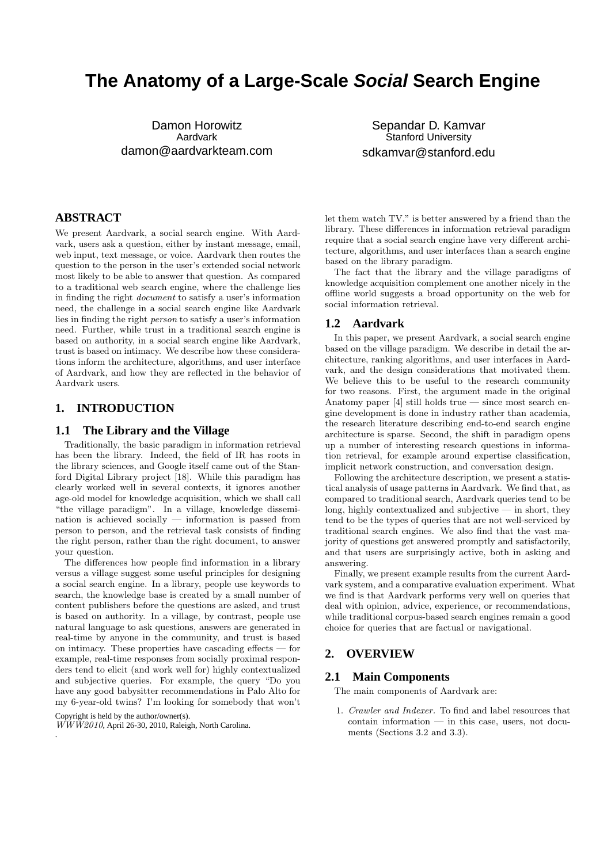# **The Anatomy of a Large-Scale Social Search Engine**

Damon Horowitz Aardvark damon@aardvarkteam.com

Sepandar D. Kamvar Stanford University sdkamvar@stanford.edu

# **ABSTRACT**

We present Aardvark, a social search engine. With Aardvark, users ask a question, either by instant message, email, web input, text message, or voice. Aardvark then routes the question to the person in the user's extended social network most likely to be able to answer that question. As compared to a traditional web search engine, where the challenge lies in finding the right document to satisfy a user's information need, the challenge in a social search engine like Aardvark lies in finding the right person to satisfy a user's information need. Further, while trust in a traditional search engine is based on authority, in a social search engine like Aardvark, trust is based on intimacy. We describe how these considerations inform the architecture, algorithms, and user interface of Aardvark, and how they are reflected in the behavior of Aardvark users.

# **1. INTRODUCTION**

### **1.1 The Library and the Village**

Traditionally, the basic paradigm in information retrieval has been the library. Indeed, the field of IR has roots in the library sciences, and Google itself came out of the Stanford Digital Library project [18]. While this paradigm has clearly worked well in several contexts, it ignores another age-old model for knowledge acquisition, which we shall call "the village paradigm". In a village, knowledge dissemination is achieved socially — information is passed from person to person, and the retrieval task consists of finding the right person, rather than the right document, to answer your question.

The differences how people find information in a library versus a village suggest some useful principles for designing a social search engine. In a library, people use keywords to search, the knowledge base is created by a small number of content publishers before the questions are asked, and trust is based on authority. In a village, by contrast, people use natural language to ask questions, answers are generated in real-time by anyone in the community, and trust is based on intimacy. These properties have cascading effects — for example, real-time responses from socially proximal responders tend to elicit (and work well for) highly contextualized and subjective queries. For example, the query "Do you have any good babysitter recommendations in Palo Alto for my 6-year-old twins? I'm looking for somebody that won't

Copyright is held by the author/owner(s).

 $W\tilde{W}W2010$ , April 26-30, 2010, Raleigh, North Carolina. .

let them watch TV." is better answered by a friend than the library. These differences in information retrieval paradigm require that a social search engine have very different architecture, algorithms, and user interfaces than a search engine based on the library paradigm.

The fact that the library and the village paradigms of knowledge acquisition complement one another nicely in the offline world suggests a broad opportunity on the web for social information retrieval.

#### **1.2 Aardvark**

In this paper, we present Aardvark, a social search engine based on the village paradigm. We describe in detail the architecture, ranking algorithms, and user interfaces in Aardvark, and the design considerations that motivated them. We believe this to be useful to the research community for two reasons. First, the argument made in the original Anatomy paper  $[4]$  still holds true — since most search engine development is done in industry rather than academia, the research literature describing end-to-end search engine architecture is sparse. Second, the shift in paradigm opens up a number of interesting research questions in information retrieval, for example around expertise classification, implicit network construction, and conversation design.

Following the architecture description, we present a statistical analysis of usage patterns in Aardvark. We find that, as compared to traditional search, Aardvark queries tend to be long, highly contextualized and subjective — in short, they tend to be the types of queries that are not well-serviced by traditional search engines. We also find that the vast majority of questions get answered promptly and satisfactorily, and that users are surprisingly active, both in asking and answering.

Finally, we present example results from the current Aardvark system, and a comparative evaluation experiment. What we find is that Aardvark performs very well on queries that deal with opinion, advice, experience, or recommendations, while traditional corpus-based search engines remain a good choice for queries that are factual or navigational.

## **2. OVERVIEW**

#### **2.1 Main Components**

The main components of Aardvark are:

1. Crawler and Indexer. To find and label resources that contain information — in this case, users, not documents (Sections 3.2 and 3.3).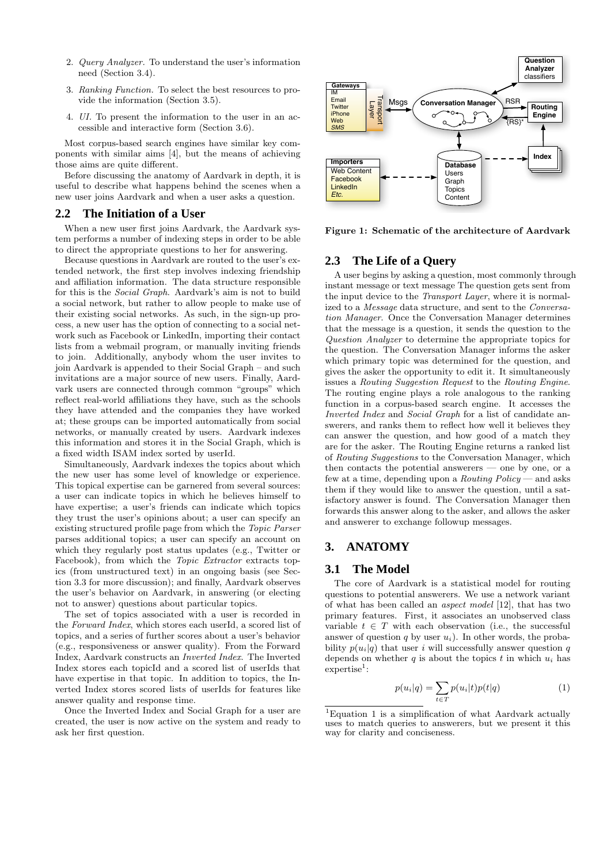- 2. Query Analyzer. To understand the user's information need (Section 3.4).
- 3. Ranking Function. To select the best resources to provide the information (Section 3.5).
- 4. UI. To present the information to the user in an accessible and interactive form (Section 3.6).

Most corpus-based search engines have similar key components with similar aims [4], but the means of achieving those aims are quite different.

Before discussing the anatomy of Aardvark in depth, it is useful to describe what happens behind the scenes when a new user joins Aardvark and when a user asks a question.

### **2.2 The Initiation of a User**

When a new user first joins Aardvark, the Aardvark system performs a number of indexing steps in order to be able to direct the appropriate questions to her for answering.

Because questions in Aardvark are routed to the user's extended network, the first step involves indexing friendship and affiliation information. The data structure responsible for this is the Social Graph. Aardvark's aim is not to build a social network, but rather to allow people to make use of their existing social networks. As such, in the sign-up process, a new user has the option of connecting to a social network such as Facebook or LinkedIn, importing their contact lists from a webmail program, or manually inviting friends to join. Additionally, anybody whom the user invites to join Aardvark is appended to their Social Graph – and such invitations are a major source of new users. Finally, Aardvark users are connected through common "groups" which reflect real-world affiliations they have, such as the schools they have attended and the companies they have worked at; these groups can be imported automatically from social networks, or manually created by users. Aardvark indexes this information and stores it in the Social Graph, which is a fixed width ISAM index sorted by userId. asked and the minimal particular is sensite to be the first question. The consistent the information (Section 3.6).<br>
4. UL To present the information to the mas in a section and the first question and interactive form (Se

Simultaneously, Aardvark indexes the topics about which the new user has some level of knowledge or experience. This topical expertise can be garnered from several sources: a user can indicate topics in which he believes himself to have expertise; a user's friends can indicate which topics they trust the user's opinions about; a user can specify an existing structured profile page from which the Topic Parser parses additional topics; a user can specify an account on which they regularly post status updates (e.g., Twitter or Facebook), from which the *Topic Extractor* extracts topics (from unstructured text) in an ongoing basis (see Section 3.3 for more discussion); and finally, Aardvark observes the user's behavior on Aardvark, in answering (or electing not to answer) questions about particular topics.

The set of topics associated with a user is recorded in the Forward Index, which stores each userId, a scored list of topics, and a series of further scores about a user's behavior (e.g., responsiveness or answer quality). From the Forward Index, Aardvark constructs an Inverted Index. The Inverted Index stores each topicId and a scored list of userIds that have expertise in that topic. In addition to topics, the Inverted Index stores scored lists of userIds for features like answer quality and response time.

Once the Inverted Index and Social Graph for a user are created, the user is now active on the system and ready to



Figure 1: Schematic of the architecture of Aardvark

# **2.3 The Life of a Query**

A user begins by asking a question, most commonly through instant message or text message The question gets sent from the input device to the Transport Layer, where it is normalized to a Message data structure, and sent to the Conversation Manager. Once the Conversation Manager determines that the message is a question, it sends the question to the Question Analyzer to determine the appropriate topics for the question. The Conversation Manager informs the asker which primary topic was determined for the question, and gives the asker the opportunity to edit it. It simultaneously issues a Routing Suggestion Request to the Routing Engine. The routing engine plays a role analogous to the ranking function in a corpus-based search engine. It accesses the Inverted Index and Social Graph for a list of candidate answerers, and ranks them to reflect how well it believes they can answer the question, and how good of a match they are for the asker. The Routing Engine returns a ranked list of Routing Suggestions to the Conversation Manager, which then contacts the potential answerers — one by one, or a few at a time, depending upon a *Routing Policy* — and asks them if they would like to answer the question, until a satisfactory answer is found. The Conversation Manager then forwards this answer along to the asker, and allows the asker and answerer to exchange followup messages.

# **3. ANATOMY**

#### **3.1 The Model**

The core of Aardvark is a statistical model for routing questions to potential answerers. We use a network variant of what has been called an aspect model [12], that has two primary features. First, it associates an unobserved class variable  $t \in T$  with each observation (i.e., the successful answer of question q by user  $u_i$ ). In other words, the probability  $p(u_i|q)$  that user i will successfully answer question q depends on whether q is about the topics t in which  $u_i$  has  $\textrm{expertise}^{1}$ :

$$
p(u_i|q) = \sum_{t \in T} p(u_i|t)p(t|q)
$$
 (1)

<sup>&</sup>lt;sup>1</sup>Equation 1 is a simplification of what Aardvark actually uses to match queries to answerers, but we present it this way for clarity and conciseness.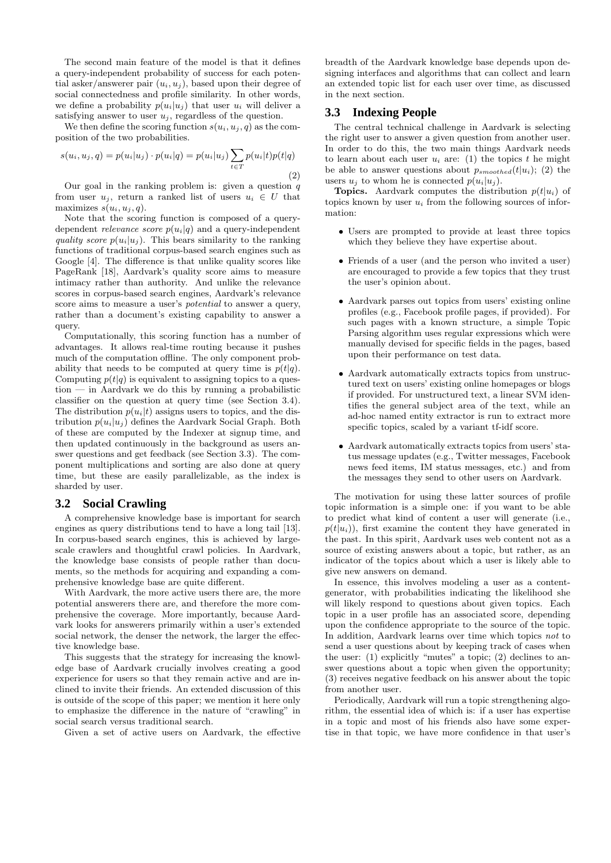The second main feature of the model is that it defines a query-independent probability of success for each potential asker/answerer pair  $(u_i, u_j)$ , based upon their degree of social connectedness and profile similarity. In other words, we define a probability  $p(u_i|u_j)$  that user  $u_i$  will deliver a satisfying answer to user  $u_j$ , regardless of the question.

We then define the scoring function  $s(u_i, u_j, q)$  as the composition of the two probabilities.

$$
s(u_i, u_j, q) = p(u_i|u_j) \cdot p(u_i|q) = p(u_i|u_j) \sum_{t \in T} p(u_i|t)p(t|q)
$$
\n(2)

Our goal in the ranking problem is: given a question  $q$ from user  $u_i$ , return a ranked list of users  $u_i \in U$  that maximizes  $s(u_i, u_j, q)$ .

Note that the scoring function is composed of a querydependent *relevance score*  $p(u_i|q)$  and a query-independent quality score  $p(u_i|u_j)$ . This bears similarity to the ranking functions of traditional corpus-based search engines such as Google [4]. The difference is that unlike quality scores like PageRank [18], Aardvark's quality score aims to measure intimacy rather than authority. And unlike the relevance scores in corpus-based search engines, Aardvark's relevance score aims to measure a user's potential to answer a query, rather than a document's existing capability to answer a query.

Computationally, this scoring function has a number of advantages. It allows real-time routing because it pushes much of the computation offline. The only component probability that needs to be computed at query time is  $p(t|q)$ . Computing  $p(t|q)$  is equivalent to assigning topics to a ques- $\tau$  tion — in Aardvark we do this by running a probabilistic classifier on the question at query time (see Section 3.4). The distribution  $p(u_i|t)$  assigns users to topics, and the distribution  $p(u_i|u_j)$  defines the Aardvark Social Graph. Both of these are computed by the Indexer at signup time, and then updated continuously in the background as users answer questions and get feedback (see Section 3.3). The component multiplications and sorting are also done at query time, but these are easily parallelizable, as the index is sharded by user.

## **3.2 Social Crawling**

A comprehensive knowledge base is important for search engines as query distributions tend to have a long tail [13]. In corpus-based search engines, this is achieved by largescale crawlers and thoughtful crawl policies. In Aardvark, the knowledge base consists of people rather than documents, so the methods for acquiring and expanding a comprehensive knowledge base are quite different.

With Aardvark, the more active users there are, the more potential answerers there are, and therefore the more comprehensive the coverage. More importantly, because Aardvark looks for answerers primarily within a user's extended social network, the denser the network, the larger the effective knowledge base.

This suggests that the strategy for increasing the knowledge base of Aardvark crucially involves creating a good experience for users so that they remain active and are inclined to invite their friends. An extended discussion of this is outside of the scope of this paper; we mention it here only to emphasize the difference in the nature of "crawling" in social search versus traditional search.

Given a set of active users on Aardvark, the effective

breadth of the Aardvark knowledge base depends upon designing interfaces and algorithms that can collect and learn an extended topic list for each user over time, as discussed in the next section.

## **3.3 Indexing People**

The central technical challenge in Aardvark is selecting the right user to answer a given question from another user. In order to do this, the two main things Aardvark needs to learn about each user  $u_i$  are: (1) the topics t he might be able to answer questions about  $p_{smoothed}(t|u_i)$ ; (2) the users  $u_i$  to whom he is connected  $p(u_i|u_i)$ .

**Topics.** Aardvark computes the distribution  $p(t|u_i)$  of topics known by user  $u_i$  from the following sources of information:

- Users are prompted to provide at least three topics which they believe they have expertise about.
- Friends of a user (and the person who invited a user) are encouraged to provide a few topics that they trust the user's opinion about.
- Aardvark parses out topics from users' existing online profiles (e.g., Facebook profile pages, if provided). For such pages with a known structure, a simple Topic Parsing algorithm uses regular expressions which were manually devised for specific fields in the pages, based upon their performance on test data.
- Aardvark automatically extracts topics from unstructured text on users' existing online homepages or blogs if provided. For unstructured text, a linear SVM identifies the general subject area of the text, while an ad-hoc named entity extractor is run to extract more specific topics, scaled by a variant tf-idf score.
- Aardvark automatically extracts topics from users' status message updates (e.g., Twitter messages, Facebook news feed items, IM status messages, etc.) and from the messages they send to other users on Aardvark.

The motivation for using these latter sources of profile topic information is a simple one: if you want to be able to predict what kind of content a user will generate (i.e.,  $p(t|u_i)$ , first examine the content they have generated in the past. In this spirit, Aardvark uses web content not as a source of existing answers about a topic, but rather, as an indicator of the topics about which a user is likely able to give new answers on demand.

In essence, this involves modeling a user as a contentgenerator, with probabilities indicating the likelihood she will likely respond to questions about given topics. Each topic in a user profile has an associated score, depending upon the confidence appropriate to the source of the topic. In addition, Aardvark learns over time which topics not to send a user questions about by keeping track of cases when the user:  $(1)$  explicitly "mutes" a topic;  $(2)$  declines to answer questions about a topic when given the opportunity; (3) receives negative feedback on his answer about the topic from another user.

Periodically, Aardvark will run a topic strengthening algorithm, the essential idea of which is: if a user has expertise in a topic and most of his friends also have some expertise in that topic, we have more confidence in that user's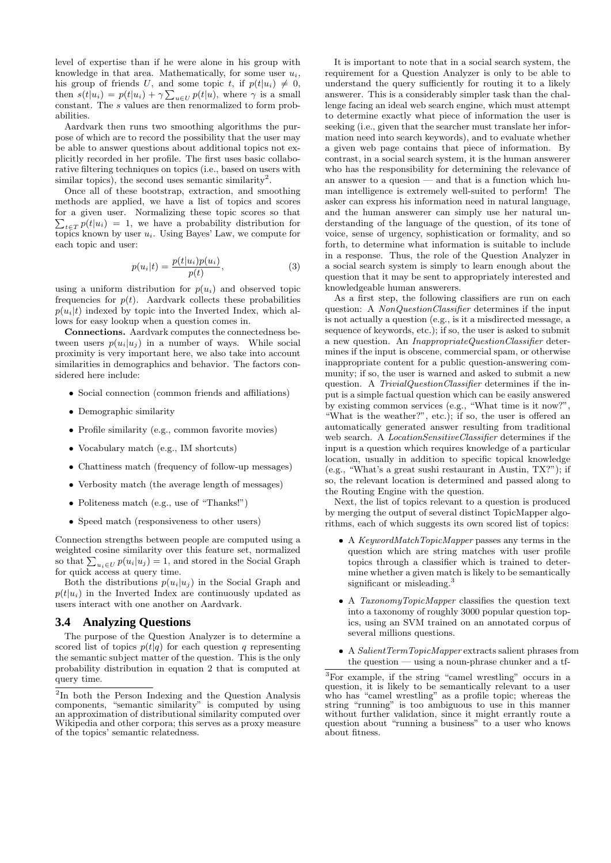level of expertise than if he were alone in his group with knowledge in that area. Mathematically, for some user  $u_i$ , his group of friends U, and some topic t, if  $p(t|u_i) \neq 0$ , then  $s(t|u_i) = p(t|u_i) + \gamma \sum_{u \in U} p(t|u)$ , where  $\gamma$  is a small constant. The s values are then renormalized to form probabilities.

Aardvark then runs two smoothing algorithms the purpose of which are to record the possibility that the user may be able to answer questions about additional topics not explicitly recorded in her profile. The first uses basic collaborative filtering techniques on topics (i.e., based on users with similar topics), the second uses semantic similarity<sup>2</sup>.

Once all of these bootstrap, extraction, and smoothing methods are applied, we have a list of topics and scores for a given user. Normalizing these topic scores so that  $\sum_{t \in T} p(t|u_i) = 1$ , we have a probability distribution for topics known by user  $u_i$ . Using Bayes' Law, we compute for each topic and user:

$$
p(u_i|t) = \frac{p(t|u_i)p(u_i)}{p(t)},
$$
\n
$$
(3)
$$

using a uniform distribution for  $p(u_i)$  and observed topic frequencies for  $p(t)$ . Aardvark collects these probabilities  $p(u_i|t)$  indexed by topic into the Inverted Index, which allows for easy lookup when a question comes in.

Connections. Aardvark computes the connectedness between users  $p(u_i|u_j)$  in a number of ways. While social proximity is very important here, we also take into account similarities in demographics and behavior. The factors considered here include:

- Social connection (common friends and affiliations)
- Demographic similarity
- Profile similarity (e.g., common favorite movies)
- Vocabulary match (e.g., IM shortcuts)
- Chattiness match (frequency of follow-up messages)
- Verbosity match (the average length of messages)
- Politeness match (e.g., use of "Thanks!")
- Speed match (responsiveness to other users)

Connection strengths between people are computed using a weighted cosine similarity over this feature set, normalized so that  $\sum_{u_i \in U} p(u_i|u_j) = 1$ , and stored in the Social Graph for quick access at query time.

Both the distributions  $p(u_i|u_j)$  in the Social Graph and  $p(t|u_i)$  in the Inverted Index are continuously updated as users interact with one another on Aardvark.

#### **3.4 Analyzing Questions**

The purpose of the Question Analyzer is to determine a scored list of topics  $p(t|q)$  for each question q representing the semantic subject matter of the question. This is the only probability distribution in equation 2 that is computed at query time.

It is important to note that in a social search system, the requirement for a Question Analyzer is only to be able to understand the query sufficiently for routing it to a likely answerer. This is a considerably simpler task than the challenge facing an ideal web search engine, which must attempt to determine exactly what piece of information the user is seeking (i.e., given that the searcher must translate her information need into search keywords), and to evaluate whether a given web page contains that piece of information. By contrast, in a social search system, it is the human answerer who has the responsibility for determining the relevance of an answer to a quesion — and that is a function which human intelligence is extremely well-suited to perform! The asker can express his information need in natural language, and the human answerer can simply use her natural understanding of the language of the question, of its tone of voice, sense of urgency, sophistication or formality, and so forth, to determine what information is suitable to include in a response. Thus, the role of the Question Analyzer in a social search system is simply to learn enough about the question that it may be sent to appropriately interested and knowledgeable human answerers.

As a first step, the following classifiers are run on each question: A *NonQuestionClassifier* determines if the input is not actually a question (e.g., is it a misdirected message, a sequence of keywords, etc.); if so, the user is asked to submit a new question. An InappropriateQuestionClassifier determines if the input is obscene, commercial spam, or otherwise inappropriate content for a public question-answering community; if so, the user is warned and asked to submit a new question. A TrivialQuestionClassifier determines if the input is a simple factual question which can be easily answered by existing common services (e.g., "What time is it now?", "What is the weather?", etc.); if so, the user is offered an automatically generated answer resulting from traditional web search. A LocationSensitiveClassifier determines if the input is a question which requires knowledge of a particular location, usually in addition to specific topical knowledge (e.g., "What's a great sushi restaurant in Austin, TX?"); if so, the relevant location is determined and passed along to the Routing Engine with the question.

Next, the list of topics relevant to a question is produced by merging the output of several distinct TopicMapper algorithms, each of which suggests its own scored list of topics:

- A *KeywordMatchTopicMapper* passes any terms in the question which are string matches with user profile topics through a classifier which is trained to determine whether a given match is likely to be semantically significant or misleading.<sup>3</sup>
- A *TaxonomyTopicMapper* classifies the question text into a taxonomy of roughly 3000 popular question topics, using an SVM trained on an annotated corpus of several millions questions.
- A Salient Term Topic Mapper extracts salient phrases from the question — using a noun-phrase chunker and a tf-

<sup>3</sup>For example, if the string "camel wrestling" occurs in a question, it is likely to be semantically relevant to a user who has "camel wrestling" as a profile topic; whereas the string "running" is too ambiguous to use in this manner without further validation, since it might errantly route a question about "running a business" to a user who knows about fitness.

<sup>&</sup>lt;sup>2</sup>In both the Person Indexing and the Question Analysis components, "semantic similarity" is computed by using an approximation of distributional similarity computed over Wikipedia and other corpora; this serves as a proxy measure of the topics' semantic relatedness.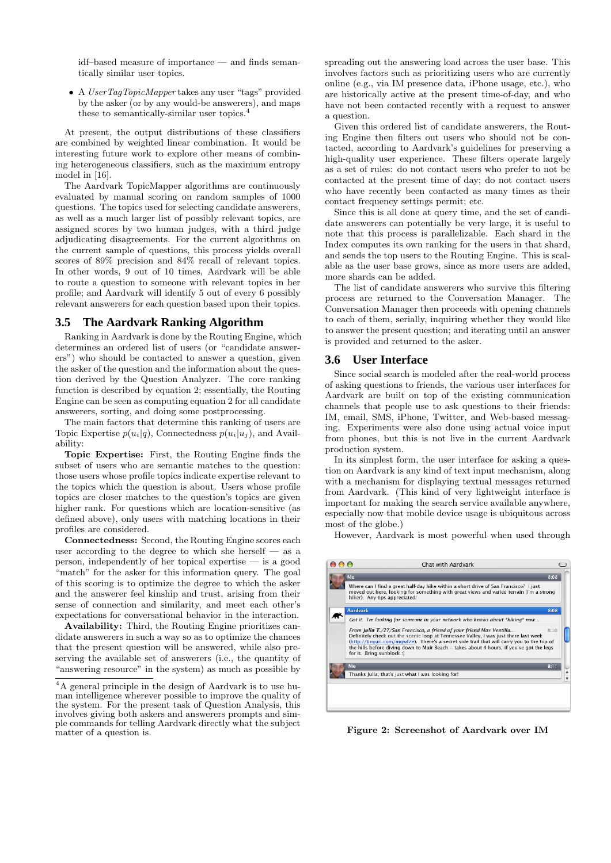idf–based measure of importance — and finds semantically similar user topics.

• A *UserTagTopicMapper* takes any user "tags" provided by the asker (or by any would-be answerers), and maps these to semantically-similar user topics.<sup>4</sup>

At present, the output distributions of these classifiers are combined by weighted linear combination. It would be interesting future work to explore other means of combining heterogeneous classifiers, such as the maximum entropy model in [16].

The Aardvark TopicMapper algorithms are continuously evaluated by manual scoring on random samples of 1000 questions. The topics used for selecting candidate answerers, as well as a much larger list of possibly relevant topics, are assigned scores by two human judges, with a third judge adjudicating disagreements. For the current algorithms on the current sample of questions, this process yields overall scores of 89% precision and 84% recall of relevant topics. In other words, 9 out of 10 times, Aardvark will be able to route a question to someone with relevant topics in her profile; and Aardvark will identify 5 out of every 6 possibly relevant answerers for each question based upon their topics.

## **3.5 The Aardvark Ranking Algorithm**

Ranking in Aardvark is done by the Routing Engine, which determines an ordered list of users (or "candidate answerers") who should be contacted to answer a question, given the asker of the question and the information about the question derived by the Question Analyzer. The core ranking function is described by equation 2; essentially, the Routing Engine can be seen as computing equation 2 for all candidate answerers, sorting, and doing some postprocessing.

The main factors that determine this ranking of users are Topic Expertise  $p(u_i|q)$ , Connectedness  $p(u_i|u_j)$ , and Availability:

Topic Expertise: First, the Routing Engine finds the subset of users who are semantic matches to the question: those users whose profile topics indicate expertise relevant to the topics which the question is about. Users whose profile topics are closer matches to the question's topics are given higher rank. For questions which are location-sensitive (as defined above), only users with matching locations in their profiles are considered.

Connectedness: Second, the Routing Engine scores each user according to the degree to which she herself  $-$  as a person, independently of her topical expertise — is a good "match" for the asker for this information query. The goal of this scoring is to optimize the degree to which the asker and the answerer feel kinship and trust, arising from their sense of connection and similarity, and meet each other's expectations for conversational behavior in the interaction.

Availability: Third, the Routing Engine prioritizes candidate answerers in such a way so as to optimize the chances that the present question will be answered, while also preserving the available set of answerers (i.e., the quantity of "answering resource" in the system) as much as possible by

spreading out the answering load across the user base. This involves factors such as prioritizing users who are currently online (e.g., via IM presence data, iPhone usage, etc.), who are historically active at the present time-of-day, and who have not been contacted recently with a request to answer a question.

Given this ordered list of candidate answerers, the Routing Engine then filters out users who should not be contacted, according to Aardvark's guidelines for preserving a high-quality user experience. These filters operate largely as a set of rules: do not contact users who prefer to not be contacted at the present time of day; do not contact users who have recently been contacted as many times as their contact frequency settings permit; etc.

Since this is all done at query time, and the set of candidate answerers can potentially be very large, it is useful to note that this process is parallelizable. Each shard in the Index computes its own ranking for the users in that shard, and sends the top users to the Routing Engine. This is scalable as the user base grows, since as more users are added, more shards can be added.

The list of candidate answerers who survive this filtering process are returned to the Conversation Manager. The Conversation Manager then proceeds with opening channels to each of them, serially, inquiring whether they would like to answer the present question; and iterating until an answer is provided and returned to the asker.

#### **3.6 User Interface**

Since social search is modeled after the real-world process of asking questions to friends, the various user interfaces for Aardvark are built on top of the existing communication channels that people use to ask questions to their friends: IM, email, SMS, iPhone, Twitter, and Web-based messaging. Experiments were also done using actual voice input from phones, but this is not live in the current Aardvark production system.

In its simplest form, the user interface for asking a question on Aardvark is any kind of text input mechanism, along with a mechanism for displaying textual messages returned from Aardvark. (This kind of very lightweight interface is important for making the search service available anywhere, especially now that mobile device usage is ubiquitous across most of the globe.)

However, Aardvark is most powerful when used through



Figure 2: Screenshot of Aardvark over IM

<sup>4</sup>A general principle in the design of Aardvark is to use human intelligence wherever possible to improve the quality of the system. For the present task of Question Analysis, this involves giving both askers and answerers prompts and simple commands for telling Aardvark directly what the subject matter of a question is.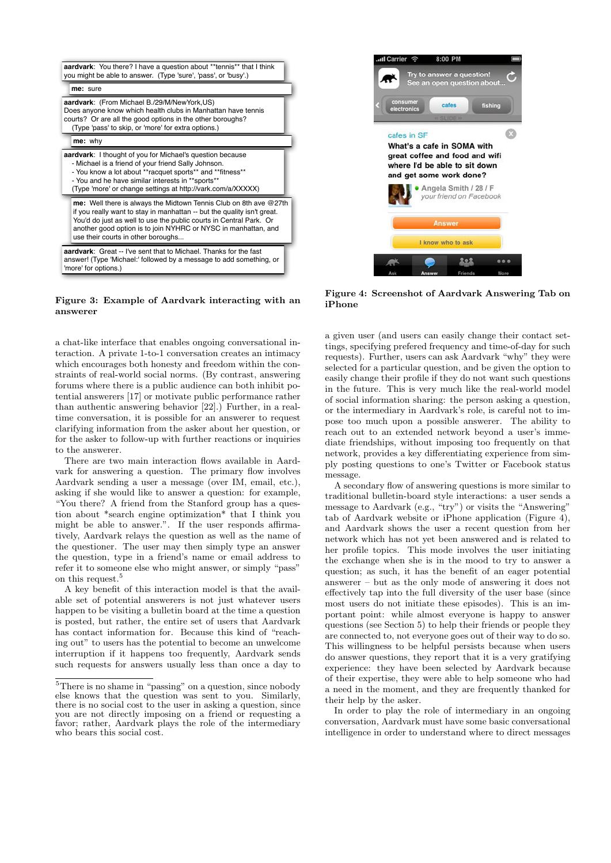

Figure 3: Example of Aardvark interacting with an answerer

a chat-like interface that enables ongoing conversational interaction. A private 1-to-1 conversation creates an intimacy which encourages both honesty and freedom within the constraints of real-world social norms. (By contrast, answering forums where there is a public audience can both inhibit potential answerers [17] or motivate public performance rather than authentic answering behavior [22].) Further, in a realtime conversation, it is possible for an answerer to request clarifying information from the asker about her question, or for the asker to follow-up with further reactions or inquiries to the answerer.

There are two main interaction flows available in Aardvark for answering a question. The primary flow involves Aardvark sending a user a message (over IM, email, etc.), asking if she would like to answer a question: for example, "You there? A friend from the Stanford group has a question about \*search engine optimization\* that I think you might be able to answer.". If the user responds affirmatively, Aardvark relays the question as well as the name of the questioner. The user may then simply type an answer the question, type in a friend's name or email address to refer it to someone else who might answer, or simply "pass" on this request.<sup>5</sup>

A key benefit of this interaction model is that the available set of potential answerers is not just whatever users happen to be visiting a bulletin board at the time a question is posted, but rather, the entire set of users that Aardvark has contact information for. Because this kind of "reaching out" to users has the potential to become an unwelcome interruption if it happens too frequently, Aardvark sends such requests for answers usually less than once a day to



Figure 4: Screenshot of Aardvark Answering Tab on iPhone

a given user (and users can easily change their contact settings, specifying prefered frequency and time-of-day for such requests). Further, users can ask Aardvark "why" they were selected for a particular question, and be given the option to easily change their profile if they do not want such questions in the future. This is very much like the real-world model of social information sharing: the person asking a question, or the intermediary in Aardvark's role, is careful not to impose too much upon a possible answerer. The ability to reach out to an extended network beyond a user's immediate friendships, without imposing too frequently on that network, provides a key differentiating experience from simply posting questions to one's Twitter or Facebook status message.

A secondary flow of answering questions is more similar to traditional bulletin-board style interactions: a user sends a message to Aardvark (e.g., "try") or visits the "Answering" tab of Aardvark website or iPhone application (Figure 4), and Aardvark shows the user a recent question from her network which has not yet been answered and is related to her profile topics. This mode involves the user initiating the exchange when she is in the mood to try to answer a question; as such, it has the benefit of an eager potential answerer – but as the only mode of answering it does not effectively tap into the full diversity of the user base (since most users do not initiate these episodes). This is an important point: while almost everyone is happy to answer questions (see Section 5) to help their friends or people they are connected to, not everyone goes out of their way to do so. This willingness to be helpful persists because when users do answer questions, they report that it is a very gratifying experience: they have been selected by Aardvark because of their expertise, they were able to help someone who had a need in the moment, and they are frequently thanked for their help by the asker.

In order to play the role of intermediary in an ongoing conversation, Aardvark must have some basic conversational intelligence in order to understand where to direct messages

<sup>5</sup>There is no shame in "passing" on a question, since nobody else knows that the question was sent to you. Similarly, there is no social cost to the user in asking a question, since you are not directly imposing on a friend or requesting a favor; rather, Aardvark plays the role of the intermediary who bears this social cost.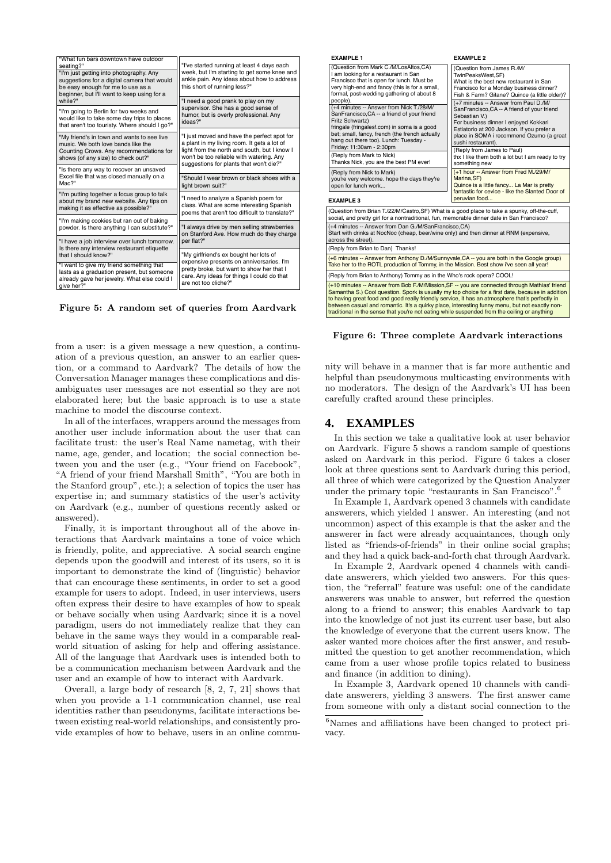| "What fun bars downtown have outdoor<br>seating?"<br>"I'm just getting into photography. Any<br>suggestions for a digital camera that would<br>be easy enough for me to use as a<br>beginner, but I'll want to keep using for a<br>while?" | "I've started running at least 4 days each<br>week, but I'm starting to get some knee and<br>ankle pain. Any ideas about how to address<br>this short of running less?"<br>"I need a good prank to play on my                     |
|--------------------------------------------------------------------------------------------------------------------------------------------------------------------------------------------------------------------------------------------|-----------------------------------------------------------------------------------------------------------------------------------------------------------------------------------------------------------------------------------|
| "I'm going to Berlin for two weeks and<br>would like to take some day trips to places<br>that aren't too touristy. Where should I go?"                                                                                                     | supervisor. She has a good sense of<br>humor, but is overly professional. Any<br>ideas?"                                                                                                                                          |
| "My friend's in town and wants to see live<br>music. We both love bands like the<br>Counting Crows, Any recommendations for<br>shows (of any size) to check out?"                                                                          | "I just moved and have the perfect spot for<br>a plant in my living room. It gets a lot of<br>light from the north and south, but I know I<br>won't be too reliable with watering. Any<br>suggestions for plants that won't die?" |
| "Is there any way to recover an unsaved<br>Excel file that was closed manually on a<br>Mac?"                                                                                                                                               | "Should I wear brown or black shoes with a<br>light brown suit?"                                                                                                                                                                  |
| "I'm putting together a focus group to talk<br>about my brand new website. Any tips on<br>making it as effective as possible?"                                                                                                             | "I need to analyze a Spanish poem for<br>class. What are some interesting Spanish<br>poems that aren't too difficult to translate?"                                                                                               |
| "I'm making cookies but ran out of baking<br>powder. Is there anything I can substitute?"                                                                                                                                                  | "I always drive by men selling strawberries<br>on Stanford Ave. How much do they charge                                                                                                                                           |
| "I have a job interview over lunch tomorrow.<br>Is there any interview restaurant etiquette<br>that I should know?"                                                                                                                        | per flat?"                                                                                                                                                                                                                        |
|                                                                                                                                                                                                                                            | "My girlfriend's ex bought her lots of<br>expensive presents on anniversaries. I'm<br>pretty broke, but want to show her that I<br>care. Any ideas for things I could do that<br>are not too cliche?"                             |
| "I want to give my friend something that<br>lasts as a graduation present, but someone<br>already gave her jewelry. What else could I<br>give her?"                                                                                        |                                                                                                                                                                                                                                   |

Figure 5: A random set of queries from Aardvark

from a user: is a given message a new question, a continuation of a previous question, an answer to an earlier question, or a command to Aardvark? The details of how the Conversation Manager manages these complications and disambiguates user messages are not essential so they are not elaborated here; but the basic approach is to use a state machine to model the discourse context.

In all of the interfaces, wrappers around the messages from another user include information about the user that can facilitate trust: the user's Real Name nametag, with their name, age, gender, and location; the social connection between you and the user (e.g., "Your friend on Facebook", "A friend of your friend Marshall Smith", "You are both in the Stanford group", etc.); a selection of topics the user has expertise in; and summary statistics of the user's activity on Aardvark (e.g., number of questions recently asked or answered).

Finally, it is important throughout all of the above interactions that Aardvark maintains a tone of voice which is friendly, polite, and appreciative. A social search engine depends upon the goodwill and interest of its users, so it is important to demonstrate the kind of (linguistic) behavior that can encourage these sentiments, in order to set a good example for users to adopt. Indeed, in user interviews, users often express their desire to have examples of how to speak or behave socially when using Aardvark; since it is a novel paradigm, users do not immediately realize that they can behave in the same ways they would in a comparable realworld situation of asking for help and offering assistance. All of the language that Aardvark uses is intended both to be a communication mechanism between Aardvark and the user and an example of how to interact with Aardvark.

Overall, a large body of research [8, 2, 7, 21] shows that when you provide a 1-1 communication channel, use real identities rather than pseudonyms, facilitate interactions between existing real-world relationships, and consistently provide examples of how to behave, users in an online commu-

| <b>EXAMPLE 1</b>                                                                                                                                                                                                                                                                                  | <b>EXAMPLE 2</b>                                                                                                                                                                                                                                                                                                                                                                                                                                                                                                                                                                                                                                                                                                  |
|---------------------------------------------------------------------------------------------------------------------------------------------------------------------------------------------------------------------------------------------------------------------------------------------------|-------------------------------------------------------------------------------------------------------------------------------------------------------------------------------------------------------------------------------------------------------------------------------------------------------------------------------------------------------------------------------------------------------------------------------------------------------------------------------------------------------------------------------------------------------------------------------------------------------------------------------------------------------------------------------------------------------------------|
| (Question from Mark C./M/LosAltos,CA)<br>I am looking for a restaurant in San<br>Francisco that is open for lunch. Must be<br>very high-end and fancy (this is for a small,<br>formal, post-wedding gathering of about 8                                                                          | (Question from James R./M/<br>TwinPeaksWest.SF)<br>What is the best new restaurant in San<br>Francisco for a Monday business dinner?<br>Fish & Farm? Gitane? Quince (a little older)?<br>(+7 minutes -- Answer from Paul D./M/<br>SanFrancisco, CA -- A friend of your friend<br>Sebastian V.)<br>For business dinner I enjoyed Kokkari<br>Estiatorio at 200 Jackson. If you prefer a<br>place in SOMA i recommend Ozumo (a great<br>sushi restaurant).<br>(Reply from James to Paul)<br>thx I like them both a lot but I am ready to try<br>something new<br>(+1 hour -- Answer from Fred M./29/M/<br>Marina.SF)<br>Quince is a little fancy La Mar is pretty<br>fantastic for cevice - like the Slanted Door of |
| people).<br>(+4 minutes -- Answer from Nick T./28/M/<br>SanFrancisco, CA -- a friend of your friend<br>Fritz Schwartz)<br>fringale (fringalesf.com) in soma is a good<br>bet: small, fancy, french (the french actually<br>hang out there too). Lunch: Tuesday -<br>Friday: 11:30am - 2:30pm      |                                                                                                                                                                                                                                                                                                                                                                                                                                                                                                                                                                                                                                                                                                                   |
| (Reply from Mark to Nick)<br>Thanks Nick, you are the best PM ever!                                                                                                                                                                                                                               |                                                                                                                                                                                                                                                                                                                                                                                                                                                                                                                                                                                                                                                                                                                   |
| (Reply from Nick to Mark)<br>you're very welcome. hope the days they're<br>open for lunch work                                                                                                                                                                                                    |                                                                                                                                                                                                                                                                                                                                                                                                                                                                                                                                                                                                                                                                                                                   |
| <b>EXAMPLE 3</b>                                                                                                                                                                                                                                                                                  | peruvian food                                                                                                                                                                                                                                                                                                                                                                                                                                                                                                                                                                                                                                                                                                     |
| (Question from Brian T./22/M/Castro, SF) What is a good place to take a spunky, off-the-cuff,<br>social, and pretty girl for a nontraditional, fun, memorable dinner date in San Francisco?                                                                                                       |                                                                                                                                                                                                                                                                                                                                                                                                                                                                                                                                                                                                                                                                                                                   |
| (+4 minutes -- Answer from Dan G./M/SanFrancisco,CA)<br>Start with drinks at NocNoc (cheap, beer/wine only) and then dinner at RNM (expensive,<br>across the street).                                                                                                                             |                                                                                                                                                                                                                                                                                                                                                                                                                                                                                                                                                                                                                                                                                                                   |
| (Reply from Brian to Dan) Thanks!                                                                                                                                                                                                                                                                 |                                                                                                                                                                                                                                                                                                                                                                                                                                                                                                                                                                                                                                                                                                                   |
| (+6 minutes -- Answer from Anthony D./M/Sunnyvale, CA -- you are both in the Google group)<br>Take her to the ROTL production of Tommy, in the Mission. Best show i've seen all year!                                                                                                             |                                                                                                                                                                                                                                                                                                                                                                                                                                                                                                                                                                                                                                                                                                                   |
| (Reply from Brian to Anthony) Tommy as in the Who's rock opera? COOL!                                                                                                                                                                                                                             |                                                                                                                                                                                                                                                                                                                                                                                                                                                                                                                                                                                                                                                                                                                   |
| to having great food and good really friendly service, it has an atmosphere that's perfectly in<br>between casual and romantic. It's a quirky place, interesting funny menu, but not exactly non-<br>traditional in the sense that you're not eating while suspended from the ceiling or anything | (+10 minutes -- Answer from Bob F./M/Mission, SF -- you are connected through Mathias' friend<br>Samantha S.) Cool question. Spork is usually my top choice for a first date, because in addition                                                                                                                                                                                                                                                                                                                                                                                                                                                                                                                 |

Figure 6: Three complete Aardvark interactions

nity will behave in a manner that is far more authentic and helpful than pseudonymous multicasting environments with no moderators. The design of the Aardvark's UI has been carefully crafted around these principles.

# **4. EXAMPLES**

In this section we take a qualitative look at user behavior on Aardvark. Figure 5 shows a random sample of questions asked on Aardvark in this period. Figure 6 takes a closer look at three questions sent to Aardvark during this period, all three of which were categorized by the Question Analyzer under the primary topic "restaurants in San Francisco".<sup>6</sup>

In Example 1, Aardvark opened 3 channels with candidate answerers, which yielded 1 answer. An interesting (and not uncommon) aspect of this example is that the asker and the answerer in fact were already acquaintances, though only listed as "friends-of-friends" in their online social graphs; and they had a quick back-and-forth chat through Aardvark.

In Example 2, Aardvark opened 4 channels with candidate answerers, which yielded two answers. For this question, the "referral" feature was useful: one of the candidate answerers was unable to answer, but referred the question along to a friend to answer; this enables Aardvark to tap into the knowledge of not just its current user base, but also the knowledge of everyone that the current users know. The asker wanted more choices after the first answer, and resubmitted the question to get another recommendation, which came from a user whose profile topics related to business and finance (in addition to dining).

In Example 3, Aardvark opened 10 channels with candidate answerers, yielding 3 answers. The first answer came from someone with only a distant social connection to the

 $6$ Names and affiliations have been changed to protect privacy.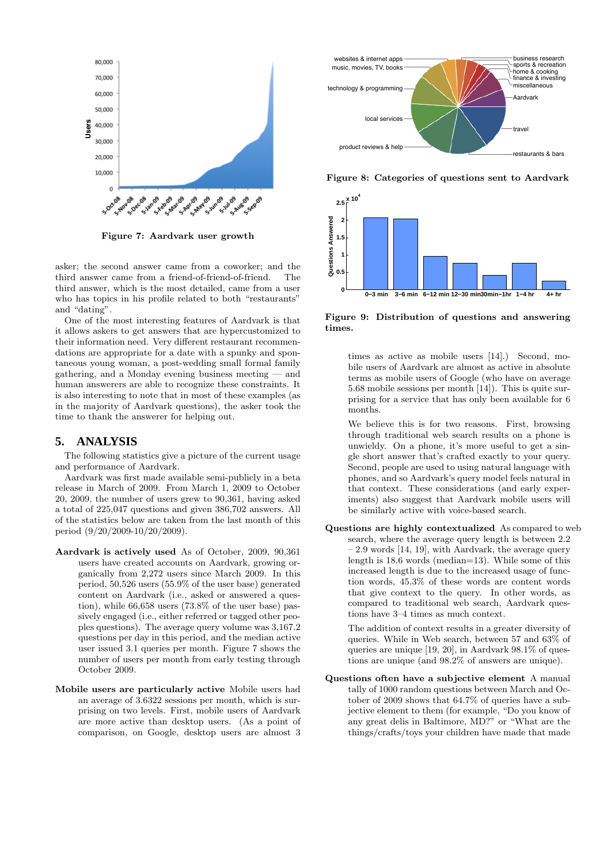

Figure 7: Aardvark user growth

asker; the second answer came from a coworker; and the third answer came from a friend-of-friend-of-friend. The third answer, which is the most detailed, came from a user who has topics in his profile related to both "restaurants" and "dating".

One of the most interesting features of Aardvark is that it allows askers to get answers that are hypercustomized to their information need. Very different restaurant recommendations are appropriate for a date with a spunky and spontaneous young woman, a post-wedding small formal family gathering, and a Monday evening business meeting — and human answerers are able to recognize these constraints. It is also interesting to note that in most of these examples (as in the majority of Aardvark questions), the asker took the time to thank the answerer for helping out.

# **5. ANALYSIS**

The following statistics give a picture of the current usage and performance of Aardvark.

Aardvark was first made available semi-publicly in a beta release in March of 2009. From March 1, 2009 to October 20, 2009, the number of users grew to 90,361, having asked a total of 225,047 questions and given 386,702 answers. All of the statistics below are taken from the last month of this period (9/20/2009-10/20/2009).

- Aardvark is actively used As of October, 2009, 90,361 users have created accounts on Aardvark, growing organically from 2,272 users since March 2009. In this period, 50,526 users (55.9% of the user base) generated content on Aardvark (i.e., asked or answered a question), while 66,658 users (73.8% of the user base) passively engaged (i.e., either referred or tagged other peoples questions). The average query volume was 3,167.2 questions per day in this period, and the median active user issued 3.1 queries per month. Figure 7 shows the number of users per month from early testing through October 2009.
- Mobile users are particularly active Mobile users had an average of 3.6322 sessions per month, which is surprising on two levels. First, mobile users of Aardvark are more active than desktop users. (As a point of comparison, on Google, desktop users are almost 3



Figure 8: Categories of questions sent to Aardvark



Figure 9: Distribution of questions and answering times.

times as active as mobile users [14].) Second, mobile users of Aardvark are almost as active in absolute terms as mobile users of Google (who have on average 5.68 mobile sessions per month [14]). This is quite surprising for a service that has only been available for 6 months.

We believe this is for two reasons. First, browsing through traditional web search results on a phone is unwieldy. On a phone, it's more useful to get a single short answer that's crafted exactly to your query. Second, people are used to using natural language with phones, and so Aardvark's query model feels natural in that context. These considerations (and early experiments) also suggest that Aardvark mobile users will be similarly active with voice-based search.

Questions are highly contextualized As compared to web search, where the average query length is between 2.2 – 2.9 words [14, 19], with Aardvark, the average query length is 18.6 words (median=13). While some of this increased length is due to the increased usage of function words, 45.3% of these words are content words that give context to the query. In other words, as compared to traditional web search, Aardvark questions have 3–4 times as much context.

The addition of context results in a greater diversity of queries. While in Web search, between 57 and 63% of queries are unique [19, 20], in Aardvark 98.1% of questions are unique (and 98.2% of answers are unique).

Questions often have a subjective element A manual tally of 1000 random questions between March and October of 2009 shows that 64.7% of queries have a subjective element to them (for example, "Do you know of any great delis in Baltimore, MD?" or "What are the things/crafts/toys your children have made that made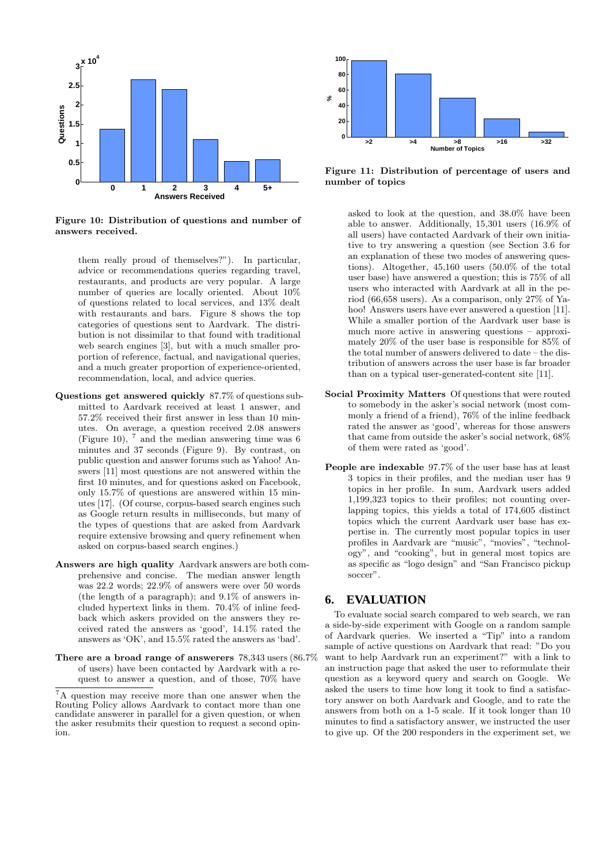

Figure 10: Distribution of questions and number of answers received.

them really proud of themselves?"). In particular, advice or recommendations queries regarding travel, restaurants, and products are very popular. A large number of queries are locally oriented. About 10% of questions related to local services, and 13% dealt with restaurants and bars. Figure 8 shows the top categories of questions sent to Aardvark. The distribution is not dissimilar to that found with traditional web search engines [3], but with a much smaller proportion of reference, factual, and navigational queries, and a much greater proportion of experience-oriented, recommendation, local, and advice queries.

- Questions get answered quickly 87.7% of questions submitted to Aardvark received at least 1 answer, and 57.2% received their first answer in less than 10 minutes. On average, a question received 2.08 answers (Figure 10),  $^7$  and the median answering time was 6 minutes and 37 seconds (Figure 9). By contrast, on public question and answer forums such as Yahoo! Answers [11] most questions are not answered within the first 10 minutes, and for questions asked on Facebook, only 15.7% of questions are answered within 15 minutes [17]. (Of course, corpus-based search engines such as Google return results in milliseconds, but many of the types of questions that are asked from Aardvark require extensive browsing and query refinement when asked on corpus-based search engines.)
- Answers are high quality Aardvark answers are both comprehensive and concise. The median answer length was 22.2 words; 22.9% of answers were over 50 words (the length of a paragraph); and 9.1% of answers included hypertext links in them. 70.4% of inline feedback which askers provided on the answers they received rated the answers as 'good', 14.1% rated the answers as 'OK', and 15.5% rated the answers as 'bad'.
- There are a broad range of answerers 78,343 users (86.7% of users) have been contacted by Aardvark with a request to answer a question, and of those, 70% have



Figure 11: Distribution of percentage of users and number of topics

asked to look at the question, and 38.0% have been able to answer. Additionally, 15,301 users (16.9% of all users) have contacted Aardvark of their own initiative to try answering a question (see Section 3.6 for an explanation of these two modes of answering questions). Altogether, 45,160 users (50.0% of the total user base) have answered a question; this is 75% of all users who interacted with Aardvark at all in the period (66,658 users). As a comparison, only 27% of Yahoo! Answers users have ever answered a question [11]. While a smaller portion of the Aardvark user base is much more active in answering questions – approximately 20% of the user base is responsible for 85% of the total number of answers delivered to date – the distribution of answers across the user base is far broader than on a typical user-generated-content site [11].

- Social Proximity Matters Of questions that were routed to somebody in the asker's social network (most commonly a friend of a friend), 76% of the inline feedback rated the answer as 'good', whereas for those answers that came from outside the asker's social network, 68% of them were rated as 'good'.
- People are indexable 97.7% of the user base has at least 3 topics in their profiles, and the median user has 9 topics in her profile. In sum, Aardvark users added 1,199,323 topics to their profiles; not counting overlapping topics, this yields a total of 174,605 distinct topics which the current Aardvark user base has expertise in. The currently most popular topics in user profiles in Aardvark are "music", "movies", "technology", and "cooking", but in general most topics are as specific as "logo design" and "San Francisco pickup soccer".

# **6. EVALUATION**

To evaluate social search compared to web search, we ran a side-by-side experiment with Google on a random sample of Aardvark queries. We inserted a "Tip" into a random sample of active questions on Aardvark that read: "Do you want to help Aardvark run an experiment?" with a link to an instruction page that asked the user to reformulate their question as a keyword query and search on Google. We asked the users to time how long it took to find a satisfactory answer on both Aardvark and Google, and to rate the answers from both on a 1-5 scale. If it took longer than 10 minutes to find a satisfactory answer, we instructed the user to give up. Of the 200 responders in the experiment set, we

<sup>7</sup>A question may receive more than one answer when the Routing Policy allows Aardvark to contact more than one candidate answerer in parallel for a given question, or when the asker resubmits their question to request a second opinion.